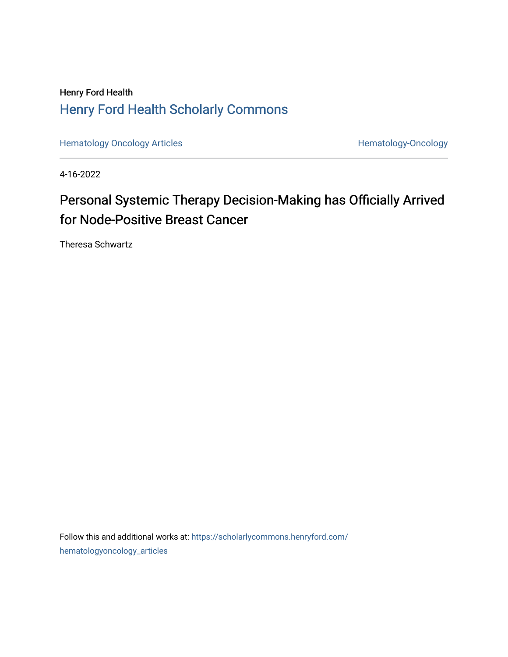## Henry Ford Health [Henry Ford Health Scholarly Commons](https://scholarlycommons.henryford.com/)

[Hematology Oncology Articles](https://scholarlycommons.henryford.com/hematologyoncology_articles) **Hematology-Oncology** 

4-16-2022

# Personal Systemic Therapy Decision-Making has Officially Arrived for Node-Positive Breast Cancer

Theresa Schwartz

Follow this and additional works at: [https://scholarlycommons.henryford.com/](https://scholarlycommons.henryford.com/hematologyoncology_articles?utm_source=scholarlycommons.henryford.com%2Fhematologyoncology_articles%2F239&utm_medium=PDF&utm_campaign=PDFCoverPages) [hematologyoncology\\_articles](https://scholarlycommons.henryford.com/hematologyoncology_articles?utm_source=scholarlycommons.henryford.com%2Fhematologyoncology_articles%2F239&utm_medium=PDF&utm_campaign=PDFCoverPages)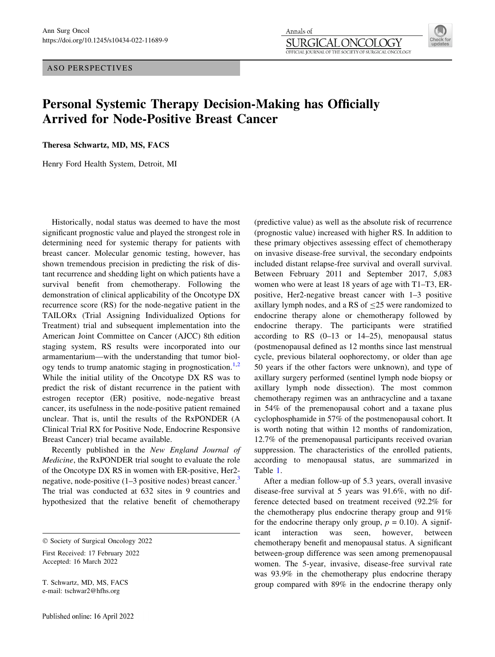ASO PERSPECTIVES

#### Annals of SURGIO JCOLOGY OFFICIAL JOURNAL OF THE SOCIETY OF SURGICAL ONCOLOGY



### Personal Systemic Therapy Decision-Making has Officially Arrived for Node-Positive Breast Cancer

Theresa Schwartz, MD, MS, FACS

Henry Ford Health System, Detroit, MI

Historically, nodal status was deemed to have the most significant prognostic value and played the strongest role in determining need for systemic therapy for patients with breast cancer. Molecular genomic testing, however, has shown tremendous precision in predicting the risk of distant recurrence and shedding light on which patients have a survival benefit from chemotherapy. Following the demonstration of clinical applicability of the Oncotype DX recurrence score (RS) for the node-negative patient in the TAILORx (Trial Assigning Individualized Options for Treatment) trial and subsequent implementation into the American Joint Committee on Cancer (AJCC) 8th edition staging system, RS results were incorporated into our armamentarium—with the understanding that tumor biol-ogy tends to trump anatomic staging in prognostication.<sup>[1,](#page-3-0)[2](#page-4-0)</sup> While the initial utility of the Oncotype DX RS was to predict the risk of distant recurrence in the patient with estrogen receptor (ER) positive, node-negative breast cancer, its usefulness in the node-positive patient remained unclear. That is, until the results of the RxPONDER (A Clinical Trial RX for Positive Node, Endocrine Responsive Breast Cancer) trial became available.

Recently published in the New England Journal of Medicine, the RxPONDER trial sought to evaluate the role of the Oncotype DX RS in women with ER-positive, Her2 negative, node-positive  $(1-3$  $(1-3$  positive nodes) breast cancer.<sup>3</sup> The trial was conducted at 632 sites in 9 countries and hypothesized that the relative benefit of chemotherapy

First Received: 17 February 2022 Accepted: 16 March 2022

T. Schwartz, MD, MS, FACS e-mail: tschwar2@hfhs.org

(predictive value) as well as the absolute risk of recurrence (prognostic value) increased with higher RS. In addition to these primary objectives assessing effect of chemotherapy on invasive disease-free survival, the secondary endpoints included distant relapse-free survival and overall survival. Between February 2011 and September 2017, 5,083 women who were at least 18 years of age with T1–T3, ERpositive, Her2-negative breast cancer with 1–3 positive axillary lymph nodes, and a RS of  $\leq$ 25 were randomized to endocrine therapy alone or chemotherapy followed by endocrine therapy. The participants were stratified according to RS  $(0-13$  or  $14-25)$ , menopausal status (postmenopausal defined as 12 months since last menstrual cycle, previous bilateral oophorectomy, or older than age 50 years if the other factors were unknown), and type of axillary surgery performed (sentinel lymph node biopsy or axillary lymph node dissection). The most common chemotherapy regimen was an anthracycline and a taxane in 54% of the premenopausal cohort and a taxane plus cyclophosphamide in 57% of the postmenopausal cohort. It is worth noting that within 12 months of randomization, 12.7% of the premenopausal participants received ovarian suppression. The characteristics of the enrolled patients, according to menopausal status, are summarized in Table [1](#page-2-0).

After a median follow-up of 5.3 years, overall invasive disease-free survival at 5 years was 91.6%, with no difference detected based on treatment received (92.2% for the chemotherapy plus endocrine therapy group and 91% for the endocrine therapy only group,  $p = 0.10$ ). A significant interaction was seen, however, between chemotherapy benefit and menopausal status. A significant between-group difference was seen among premenopausal women. The 5-year, invasive, disease-free survival rate was 93.9% in the chemotherapy plus endocrine therapy group compared with 89% in the endocrine therapy only

 $©$  Society of Surgical Oncology 2022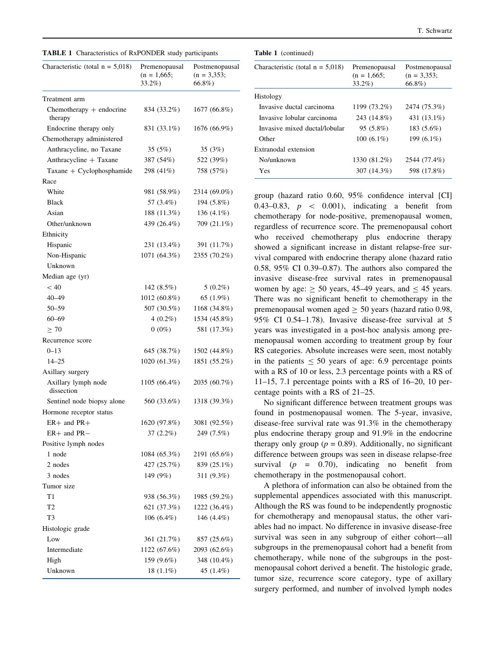<span id="page-2-0"></span>

|  |  | <b>TABLE 1</b> Characteristics of RxPONDER study participants |  |  |
|--|--|---------------------------------------------------------------|--|--|
|--|--|---------------------------------------------------------------|--|--|

| Characteristic (total $n = 5,018$ )   | Premenopausal<br>$(n = 1,665)$ ;<br>33.2%) | Postmenopausal<br>$(n = 3,353)$ ;<br>66.8%) |
|---------------------------------------|--------------------------------------------|---------------------------------------------|
| Treatment arm                         |                                            |                                             |
| Chemotherapy $+$ endocrine<br>therapy | 834 (33.2%)                                | 1677 (66.8%)                                |
| Endocrine therapy only                | 831 (33.1%)                                | 1676 (66.9%)                                |
| Chemotherapy administered             |                                            |                                             |
| Anthracycline, no Taxane              | 35 (5%)                                    | 35 (3%)                                     |
| Anthracycline + Taxane                | 387 (54%)                                  | 522 (39%)                                   |
| $Taxane + Cyclophosphamide$           | 298 (41%)                                  | 758 (57%)                                   |
| Race                                  |                                            |                                             |
| White                                 | 981 (58.9%)                                | 2314 (69.0%)                                |
| <b>Black</b>                          | 57 (3.4%)                                  | 194 (5.8%)                                  |
| Asian                                 | 188 (11.3%)                                | 136 $(4.1\%)$                               |
| Other/unknown                         | 439 (26.4%)                                | 709 (21.1%)                                 |
| Ethnicity                             |                                            |                                             |
| Hispanic                              | 231 (13.4%)                                | 391 (11.7%)                                 |
| Non-Hispanic                          | 1071 (64.3%)                               | 2355 (70.2%)                                |
| Unknown                               |                                            |                                             |
| Median age (yr)                       |                                            |                                             |
| < 40                                  | 142 $(8.5\%)$                              | $5(0.2\%)$                                  |
| 40–49                                 | 1012 (60.8%)                               | 65 (1.9%)                                   |
| 50-59                                 | 507 (30.5%)                                | 1168 (34.8%)                                |
| $60 - 69$                             | $4(0.2\%)$                                 | 1534 (45.8%)                                |
| $\geq 70$                             | $0(0\%)$                                   | 581 (17.3%)                                 |
| Recurrence score                      |                                            |                                             |
| $0 - 13$                              | 645 (38.7%)                                | 1502 (44.8%)                                |
| $14 - 25$                             | 1020 (61.3%)                               | 1851 (55.2%)                                |
| Axillary surgery                      |                                            |                                             |
| Axillary lymph node<br>dissection     | 1105 (66.4%)                               | 2035 (60.7%)                                |
| Sentinel node biopsy alone            | 560 (33.6%)                                | 1318 (39.3%)                                |
| Hormone receptor status               |                                            |                                             |
| $ER+$ and $PR+$                       | 1620 (97.8%)                               | 3081 (92.5%)                                |
| ER+ and PR-                           | 37 (2.2%)                                  | 249 (7.5%)                                  |
| Positive lymph nodes                  |                                            |                                             |
| 1 node                                | 1084 (65.3%)                               | 2191 (65.6%)                                |
| 2 nodes                               | 427 (25.7%)                                | 839 (25.1%)                                 |
| 3 nodes                               | 149 (9%)                                   | 311 (9.3%)                                  |
| Tumor size                            |                                            |                                             |
| T1                                    | 938 (56.3%)                                | 1985 (59.2%)                                |
| T2                                    | 621 (37.3%)                                | 1222 (36.4%)                                |
| T3                                    | $106(6.4\%)$                               | 146 (4.4%)                                  |
| Histologic grade                      |                                            |                                             |
| Low                                   | 361 (21.7%)                                | 857 (25.6%)                                 |
| Intermediate                          | 1122 (67.6%)                               | 2093 (62.6%)                                |
| High                                  | 159 (9.6%)                                 | 348 (10.4%)                                 |
| Unknown                               | 18 $(1.1\%)$                               | 45 (1.4%)                                   |

### Table 1 (continued)

| Characteristic (total $n = 5,018$ ) | Premenopausal<br>$(n = 1,665)$ ;<br>$33.2\%$ | Postmenopausal<br>$(n = 3.353)$<br>$66.8\%$ |
|-------------------------------------|----------------------------------------------|---------------------------------------------|
| Histology                           |                                              |                                             |
| Invasive ductal carcinoma           | 1199 (73.2%)                                 | 2474 (75.3%)                                |
| Invasive lobular carcinoma          | 243 (14.8%)                                  | 431 (13.1%)                                 |
| Invasive mixed ductal/lobular       | $95(5.8\%)$                                  | 183 (5.6%)                                  |
| Other                               | $100(6.1\%)$                                 | 199 (6.1%)                                  |
| Extranodal extension                |                                              |                                             |
| No/unknown                          | 1330 (81.2%)                                 | 2544 (77.4%)                                |
| Yes                                 | 307 (14.3%)                                  | 598 (17.8%)                                 |

group (hazard ratio 0.60, 95% confidence interval [CI] 0.43–0.83,  $p \le 0.001$ , indicating a benefit from chemotherapy for node-positive, premenopausal women, regardless of recurrence score. The premenopausal cohort who received chemotherapy plus endocrine therapy showed a significant increase in distant relapse-free survival compared with endocrine therapy alone (hazard ratio 0.58, 95% CI 0.39–0.87). The authors also compared the invasive disease-free survival rates in premenopausal women by age:  $\geq$  50 years, 45–49 years, and  $\leq$  45 years. There was no significant benefit to chemotherapy in the premenopausal women aged  $\geq 50$  years (hazard ratio 0.98, 95% CI 0.54–1.78). Invasive disease-free survival at 5 years was investigated in a post-hoc analysis among premenopausal women according to treatment group by four RS categories. Absolute increases were seen, most notably in the patients  $\leq 50$  years of age: 6.9 percentage points with a RS of 10 or less, 2.3 percentage points with a RS of 11–15, 7.1 percentage points with a RS of 16–20, 10 percentage points with a RS of 21–25.

No significant difference between treatment groups was found in postmenopausal women. The 5-year, invasive, disease-free survival rate was 91.3% in the chemotherapy plus endocrine therapy group and 91.9% in the endocrine therapy only group ( $p = 0.89$ ). Additionally, no significant difference between groups was seen in disease relapse-free survival  $(p = 0.70)$ , indicating no benefit from chemotherapy in the postmenopausal cohort.

A plethora of information can also be obtained from the supplemental appendices associated with this manuscript. Although the RS was found to be independently prognostic for chemotherapy and menopausal status, the other variables had no impact. No difference in invasive disease-free survival was seen in any subgroup of either cohort—all subgroups in the premenopausal cohort had a benefit from chemotherapy, while none of the subgroups in the postmenopausal cohort derived a benefit. The histologic grade, tumor size, recurrence score category, type of axillary surgery performed, and number of involved lymph nodes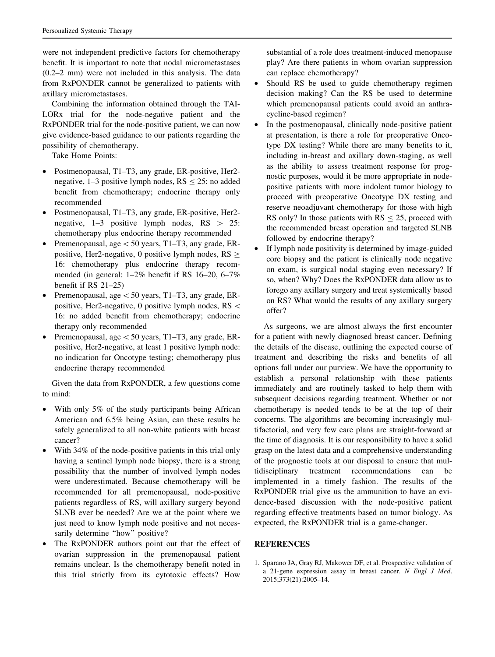<span id="page-3-0"></span>were not independent predictive factors for chemotherapy benefit. It is important to note that nodal micrometastases (0.2–2 mm) were not included in this analysis. The data from RxPONDER cannot be generalized to patients with axillary micrometastases.

Combining the information obtained through the TAI-LORx trial for the node-negative patient and the RxPONDER trial for the node-positive patient, we can now give evidence-based guidance to our patients regarding the possibility of chemotherapy.

Take Home Points:

- Postmenopausal, T1–T3, any grade, ER-positive, Her2 negative, 1–3 positive lymph nodes,  $RS \le 25$ : no added benefit from chemotherapy; endocrine therapy only recommended
- Postmenopausal, T1–T3, any grade, ER-positive, Her2 negative,  $1-3$  positive lymph nodes,  $RS > 25$ : chemotherapy plus endocrine therapy recommended
- Premenopausal, age\50 years, T1–T3, any grade, ERpositive, Her2-negative, 0 positive lymph nodes,  $RS \geq$ 16: chemotherapy plus endocrine therapy recommended (in general: 1–2% benefit if RS 16–20, 6–7% benefit if RS 21–25)
- Premenopausal, age $\leq$  50 years, T1–T3, any grade, ERpositive, Her2-negative, 0 positive lymph nodes,  $RS <$ 16: no added benefit from chemotherapy; endocrine therapy only recommended
- Premenopausal, age  $\lt 50$  years, T1–T3, any grade, ERpositive, Her2-negative, at least 1 positive lymph node: no indication for Oncotype testing; chemotherapy plus endocrine therapy recommended

Given the data from RxPONDER, a few questions come to mind:

- With only 5% of the study participants being African American and 6.5% being Asian, can these results be safely generalized to all non-white patients with breast cancer?
- With 34% of the node-positive patients in this trial only having a sentinel lymph node biopsy, there is a strong possibility that the number of involved lymph nodes were underestimated. Because chemotherapy will be recommended for all premenopausal, node-positive patients regardless of RS, will axillary surgery beyond SLNB ever be needed? Are we at the point where we just need to know lymph node positive and not necessarily determine "how" positive?
- The RxPONDER authors point out that the effect of ovarian suppression in the premenopausal patient remains unclear. Is the chemotherapy benefit noted in this trial strictly from its cytotoxic effects? How

substantial of a role does treatment-induced menopause play? Are there patients in whom ovarian suppression can replace chemotherapy?

- Should RS be used to guide chemotherapy regimen decision making? Can the RS be used to determine which premenopausal patients could avoid an anthracycline-based regimen?
- In the postmenopausal, clinically node-positive patient at presentation, is there a role for preoperative Oncotype DX testing? While there are many benefits to it, including in-breast and axillary down-staging, as well as the ability to assess treatment response for prognostic purposes, would it be more appropriate in nodepositive patients with more indolent tumor biology to proceed with preoperative Oncotype DX testing and reserve neoadjuvant chemotherapy for those with high RS only? In those patients with  $RS \le 25$ , proceed with the recommended breast operation and targeted SLNB followed by endocrine therapy?
- If lymph node positivity is determined by image-guided core biopsy and the patient is clinically node negative on exam, is surgical nodal staging even necessary? If so, when? Why? Does the RxPONDER data allow us to forego any axillary surgery and treat systemically based on RS? What would the results of any axillary surgery offer?

As surgeons, we are almost always the first encounter for a patient with newly diagnosed breast cancer. Defining the details of the disease, outlining the expected course of treatment and describing the risks and benefits of all options fall under our purview. We have the opportunity to establish a personal relationship with these patients immediately and are routinely tasked to help them with subsequent decisions regarding treatment. Whether or not chemotherapy is needed tends to be at the top of their concerns. The algorithms are becoming increasingly multifactorial, and very few care plans are straight-forward at the time of diagnosis. It is our responsibility to have a solid grasp on the latest data and a comprehensive understanding of the prognostic tools at our disposal to ensure that multidisciplinary treatment recommendations can be implemented in a timely fashion. The results of the RxPONDER trial give us the ammunition to have an evidence-based discussion with the node-positive patient regarding effective treatments based on tumor biology. As expected, the RxPONDER trial is a game-changer.

### REFERENCES

1. Sparano JA, Gray RJ, Makower DF, et al. Prospective validation of a 21-gene expression assay in breast cancer. N Engl J Med. 2015;373(21):2005–14.